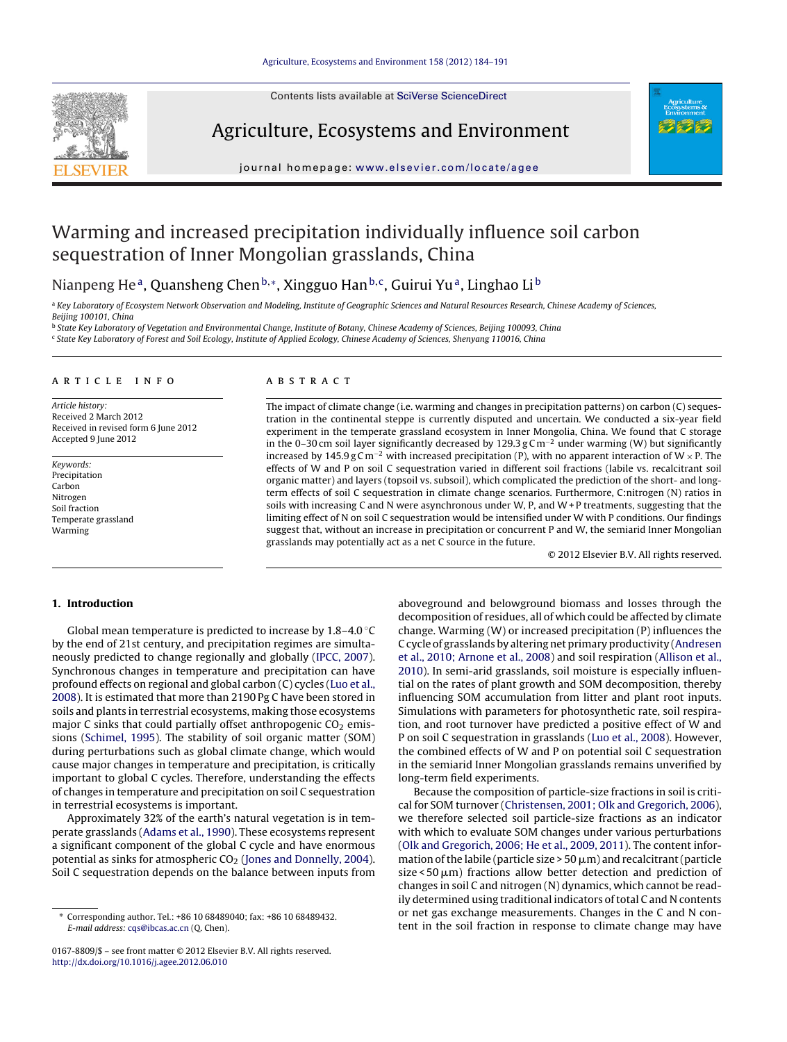Contents lists available at SciVerse [ScienceDirect](http://www.sciencedirect.com/science/journal/01678809)



# Agriculture, Ecosystems and Environment



journal homepage: [www.elsevier.com/locate/agee](http://www.elsevier.com/locate/agee)

# Warming and increased precipitation individually influence soil carbon sequestration of Inner Mongolian grasslands, China

# Nianpeng He<sup>a</sup>, Quansheng Chen<sup>b,∗</sup>, Xingguo Han<sup>b,c</sup>, Guirui Yu<sup>a</sup>, Linghao Li<sup>b</sup>

a Key Laboratory of Ecosystem Network Observation and Modeling, Institute of Geographic Sciences and Natural Resources Research, Chinese Academy of Sciences, Beijing 100101, China

<sup>b</sup> State Key Laboratory of Vegetation and Environmental Change, Institute of Botany, Chinese Academy of Sciences, Beijing 100093, China

<sup>c</sup> State Key Laboratory of Forest and Soil Ecology, Institute of Applied Ecology, Chinese Academy of Sciences, Shenyang 110016, China

#### a r t i c l e i n f o

Article history: Received 2 March 2012 Received in revised form 6 June 2012 Accepted 9 June 2012

Keywords: Precipitation Carbon Nitrogen Soil fraction Temperate grassland Warming

### A B S T R A C T

The impact of climate change (i.e. warming and changes in precipitation patterns) on carbon (C) sequestration in the continental steppe is currently disputed and uncertain. We conducted a six-year field experiment in the temperate grassland ecosystem in Inner Mongolia, China. We found that C storage in the 0–30 cm soil layer significantly decreased by 129.3 g Cm<sup>-2</sup> under warming (W) but significantly increased by 145.9 g C m<sup>-2</sup> with increased precipitation (P), with no apparent interaction of W × P. The effects of W and P on soil C sequestration varied in different soil fractions (labile vs. recalcitrant soil organic matter) and layers (topsoil vs. subsoil), which complicated the prediction of the short- and longterm effects of soil C sequestration in climate change scenarios. Furthermore, C:nitrogen (N) ratios in soils with increasing C and N were asynchronous under W, P, and W+ P treatments, suggesting that the limiting effect of N on soil C sequestration would be intensified under W with P conditions. Our findings suggest that, without an increase in precipitation or concurrent P and W, the semiarid Inner Mongolian grasslands may potentially act as a net C source in the future.

© 2012 Elsevier B.V. All rights reserved.

# **1. Introduction**

Global mean temperature is predicted to increase by 1.8–4.0 ◦C by the end of 21st century, and precipitation regimes are simultaneously predicted to change regionally and globally [\(IPCC,](#page-6-0) [2007\).](#page-6-0) Synchronous changes in temperature and precipitation can have profound effects on regional and global carbon (C) cycles [\(Luo](#page-6-0) et [al.,](#page-6-0) [2008\).](#page-6-0) It is estimated that more than 2190 Pg C have been stored in soils and plants in terrestrial ecosystems, making those ecosystems major C sinks that could partially offset anthropogenic  $CO<sub>2</sub>$  emissions ([Schimel,](#page-6-0) [1995\).](#page-6-0) The stability of soil organic matter (SOM) during perturbations such as global climate change, which would cause major changes in temperature and precipitation, is critically important to global C cycles. Therefore, understanding the effects of changes in temperature and precipitation on soil C sequestration in terrestrial ecosystems is important.

Approximately 32% of the earth's natural vegetation is in temperate grasslands ([Adams](#page-6-0) et [al.,](#page-6-0) [1990\).](#page-6-0) These ecosystems represent a significant component of the global C cycle and have enormous potential as sinks for atmospheric  $CO<sub>2</sub>$  [\(Jones](#page-6-0) [and](#page-6-0) [Donnelly,](#page-6-0) [2004\).](#page-6-0) Soil C sequestration depends on the balance between inputs from

aboveground and belowground biomass and losses through the decomposition of residues, all of which could be affected by climate change. Warming (W) or increased precipitation (P) influences the C cycle of grasslands by altering net primary productivity ([Andresen](#page-6-0) et [al.,](#page-6-0) [2010;](#page-6-0) [Arnone](#page-6-0) et [al.,](#page-6-0) [2008\)](#page-6-0) and soil respiration [\(Allison](#page-6-0) et [al.,](#page-6-0) [2010\).](#page-6-0) In semi-arid grasslands, soil moisture is especially influential on the rates of plant growth and SOM decomposition, thereby influencing SOM accumulation from litter and plant root inputs. Simulations with parameters for photosynthetic rate, soil respiration, and root turnover have predicted a positive effect of W and P on soil C sequestration in grasslands ([Luo](#page-6-0) et [al.,](#page-6-0) [2008\).](#page-6-0) However, the combined effects of W and P on potential soil C sequestration in the semiarid Inner Mongolian grasslands remains unverified by long-term field experiments.

Because the composition of particle-size fractions in soil is critical for SOM turnover [\(Christensen,](#page-6-0) [2001;](#page-6-0) [Olk](#page-6-0) [and](#page-6-0) [Gregorich,](#page-6-0) [2006\),](#page-6-0) we therefore selected soil particle-size fractions as an indicator with which to evaluate SOM changes under various perturbations [\(Olk](#page-6-0) [and](#page-6-0) [Gregorich,](#page-6-0) [2006;](#page-6-0) [He](#page-6-0) et [al.,](#page-6-0) [2009,](#page-6-0) [2011\).](#page-6-0) The content information of the labile (particle size > 50  $\mu$ m) and recalcitrant (particle  $size$  <50  $\mu$ m) fractions allow better detection and prediction of changes in soil C and nitrogen (N) dynamics, which cannot be readily determined using traditional indicators of total C and N contents or net gas exchange measurements. Changes in the C and N content in the soil fraction in response to climate change may have

<sup>∗</sup> Corresponding author. Tel.: +86 10 68489040; fax: +86 10 68489432. E-mail address: [cqs@ibcas.ac.cn](mailto:cqs@ibcas.ac.cn) (Q. Chen).

<sup>0167-8809/\$</sup> – see front matter © 2012 Elsevier B.V. All rights reserved. [http://dx.doi.org/10.1016/j.agee.2012.06.010](dx.doi.org/10.1016/j.agee.2012.06.010)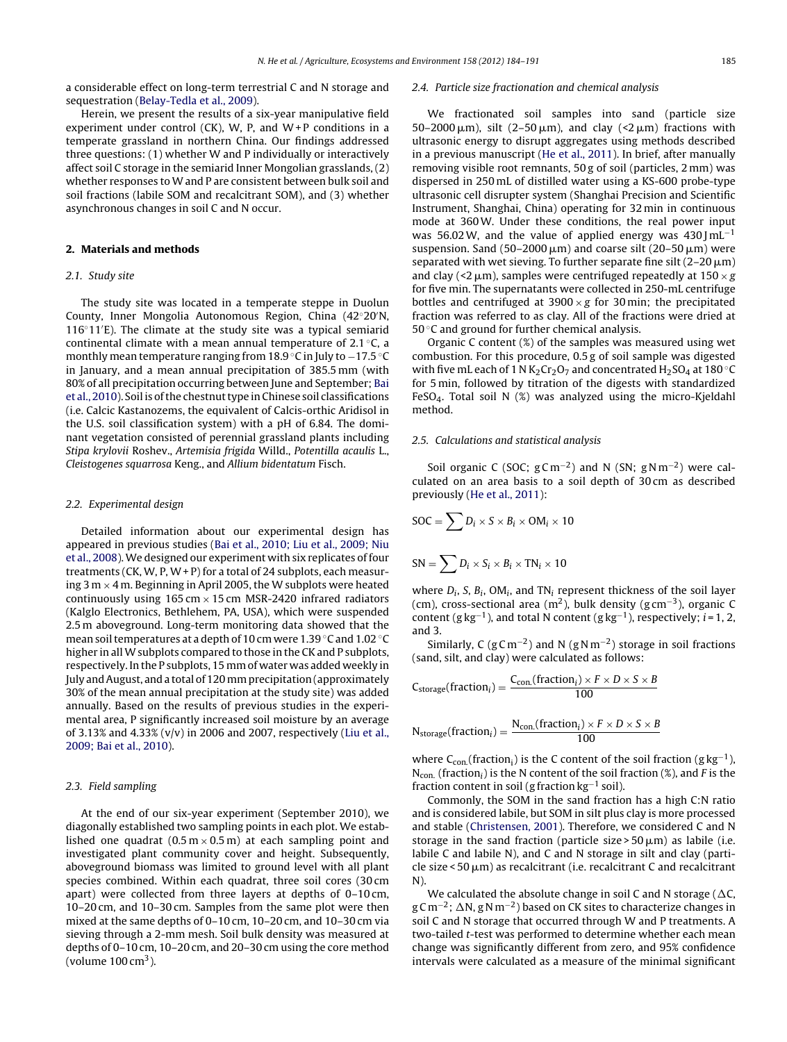a considerable effect on long-term terrestrial C and N storage and sequestration ([Belay-Tedla](#page-6-0) et [al.,](#page-6-0) [2009\).](#page-6-0)

Herein, we present the results of a six-year manipulative field experiment under control (CK), W, P, and  $W+P$  conditions in a temperate grassland in northern China. Our findings addressed three questions: (1) whether W and P individually or interactively affect soil C storage in the semiarid Inner Mongolian grasslands, (2) whether responses to W and P are consistent between bulk soil and soil fractions (labile SOM and recalcitrant SOM), and (3) whether asynchronous changes in soil C and N occur.

## **2. Materials and methods**

#### 2.1. Study site

The study site was located in a temperate steppe in Duolun County, Inner Mongolia Autonomous Region, China (42◦20 N, 116◦11 E). The climate at the study site was a typical semiarid continental climate with a mean annual temperature of  $2.1 \degree C$ , a monthly mean temperature ranging from 18.9 ◦C in July to −17.5 ◦C in January, and a mean annual precipitation of 385.5 mm (with 80% of all precipitation occurring between June and September; [Bai](#page-6-0) et [al.,](#page-6-0) [2010\).](#page-6-0) Soil is of the chestnut type in Chinese soil classifications (i.e. Calcic Kastanozems, the equivalent of Calcis-orthic Aridisol in the U.S. soil classification system) with a pH of 6.84. The dominant vegetation consisted of perennial grassland plants including Stipa krylovii Roshev., Artemisia frigida Willd., Potentilla acaulis L., Cleistogenes squarrosa Keng., and Allium bidentatum Fisch.

#### 2.2. Experimental design

Detailed information about our experimental design has appeared in previous studies [\(Bai](#page-6-0) et [al.,](#page-6-0) [2010;](#page-6-0) [Liu](#page-6-0) et [al.,](#page-6-0) [2009;](#page-6-0) [Niu](#page-6-0) et [al.,](#page-6-0) [2008\).](#page-6-0)We designed our experiment with six replicates of four treatments (CK, W, P, W + P) for a total of 24 subplots, each measuring 3 m  $\times$  4 m. Beginning in April 2005, the W subplots were heated continuously using  $165 \text{ cm} \times 15 \text{ cm}$  MSR-2420 infrared radiators (Kalglo Electronics, Bethlehem, PA, USA), which were suspended 2.5 m aboveground. Long-term monitoring data showed that the mean soil temperatures at a depth of 10 cm were 1.39 °C and 1.02 °C higher in all W subplots compared to those in the CK and P subplots, respectively. In the P subplots, 15 mm of water was added weekly in July andAugust, and a total of 120 mmprecipitation(approximately 30% of the mean annual precipitation at the study site) was added annually. Based on the results of previous studies in the experimental area, P significantly increased soil moisture by an average of 3.13% and 4.33% (v/v) in 2006 and 2007, respectively ([Liu](#page-6-0) et [al.,](#page-6-0) [2009;](#page-6-0) [Bai](#page-6-0) et [al.,](#page-6-0) [2010\).](#page-6-0)

#### 2.3. Field sampling

At the end of our six-year experiment (September 2010), we diagonally established two sampling points in each plot. We established one quadrat  $(0.5 \text{ m} \times 0.5 \text{ m})$  at each sampling point and investigated plant community cover and height. Subsequently, aboveground biomass was limited to ground level with all plant species combined. Within each quadrat, three soil cores (30 cm apart) were collected from three layers at depths of 0–10 cm, 10–20 cm, and 10–30 cm. Samples from the same plot were then mixed at the same depths of 0–10 cm, 10–20 cm, and 10–30 cm via sieving through a 2-mm mesh. Soil bulk density was measured at depths of 0–10 cm, 10–20 cm, and 20–30 cm using the core method (volume  $100 \text{ cm}^3$ ).

#### 2.4. Particle size fractionation and chemical analysis

We fractionated soil samples into sand (particle size  $50-2000 \,\mathrm{\upmu m}$ ), silt (2–50  $\mathrm{\upmu m}$ ), and clay (<2  $\mathrm{\upmu m}$ ) fractions with ultrasonic energy to disrupt aggregates using methods described in a previous manuscript [\(He](#page-6-0) et [al.,](#page-6-0) [2011\).](#page-6-0) In brief, after manually removing visible root remnants, 50 g of soil (particles, 2 mm) was dispersed in 250 mL of distilled water using a KS-600 probe-type ultrasonic cell disrupter system (Shanghai Precision and Scientific Instrument, Shanghai, China) operating for 32 min in continuous mode at 360W. Under these conditions, the real power input was 56.02W, and the value of applied energy was 430  $\text{Im}L^{-1}$ suspension. Sand (50–2000  $\mu$ m) and coarse silt (20–50  $\mu$ m) were separated with wet sieving. To further separate fine silt (2–20  $\mu$ m) and clay (<2  $\mu$ m), samples were centrifuged repeatedly at 150  $\times$  g for five min. The supernatants were collected in 250-mL centrifuge bottles and centrifuged at  $3900 \times g$  for 30 min; the precipitated fraction was referred to as clay. All of the fractions were dried at 50 °C and ground for further chemical analysis.

Organic C content (%) of the samples was measured using wet combustion. For this procedure, 0.5 g of soil sample was digested with five mL each of 1 N  $K_2$ Cr<sub>2</sub>O<sub>7</sub> and concentrated H<sub>2</sub>SO<sub>4</sub> at 180 °C for 5 min, followed by titration of the digests with standardized FeSO<sub>4</sub>. Total soil N  $(\%)$  was analyzed using the micro-Kjeldahl method.

#### 2.5. Calculations and statistical analysis

Soil organic C (SOC;  $gCm^{-2}$ ) and N (SN;  $gNm^{-2}$ ) were calculated on an area basis to a soil depth of 30 cm as described previously [\(He](#page-6-0) et [al.,](#page-6-0) [2011\):](#page-6-0)

$$
SOC = \sum D_i \times S \times B_i \times OM_i \times 10
$$
  

$$
SN = \sum D_i \times S_i \times B_i \times TN_i \times 10
$$

where  $D_i$ , S,  $B_i$ , OM<sub>i</sub>, and TN<sub>i</sub> represent thickness of the soil layer (cm), cross-sectional area (m<sup>2</sup>), bulk density (g cm<sup>-3</sup>), organic C content (g kg<sup>-1</sup>), and total N content (g kg<sup>-1</sup>), respectively; *i* = 1, 2, and 3.

Similarly, C ( $gC m^{-2}$ ) and N ( $gN m^{-2}$ ) storage in soil fractions (sand, silt, and clay) were calculated as follows:

$$
C_{\text{storage}}(\text{fraction}_{i}) = \frac{C_{\text{con.}}(\text{fraction}_{i}) \times F \times D \times S \times B}{100}
$$

$$
N_{storage}(fraction_{i}) = \frac{N_{con}(fraction_{i}) \times F \times D \times S \times B}{100}
$$

where  $C_{con.}$ (fraction<sub>i</sub>) is the C content of the soil fraction (g kg<sup>-1</sup>),  $N_{con.}$  (fraction<sub>i</sub>) is the N content of the soil fraction (%), and F is the fraction content in soil (g fraction  $kg^{-1}$  soil).

Commonly, the SOM in the sand fraction has a high C:N ratio and is considered labile, but SOM in silt plus clay is more processed and stable [\(Christensen,](#page-6-0) [2001\).](#page-6-0) Therefore, we considered C and N storage in the sand fraction (particle size  $>$  50  $\mu$ m) as labile (i.e. labile C and labile N), and C and N storage in silt and clay (parti- $\chi$ cle size < 50  $\mu$ m) as recalcitrant (i.e. recalcitrant C and recalcitrant N).

We calculated the absolute change in soil C and N storage ( $\Delta C$ , g C m<sup>−2</sup>; ∆N, g N m<sup>−2</sup>) based on CK sites to characterize changes in soil C and N storage that occurred through W and P treatments. A two-tailed t-test was performed to determine whether each mean change was significantly different from zero, and 95% confidence intervals were calculated as a measure of the minimal significant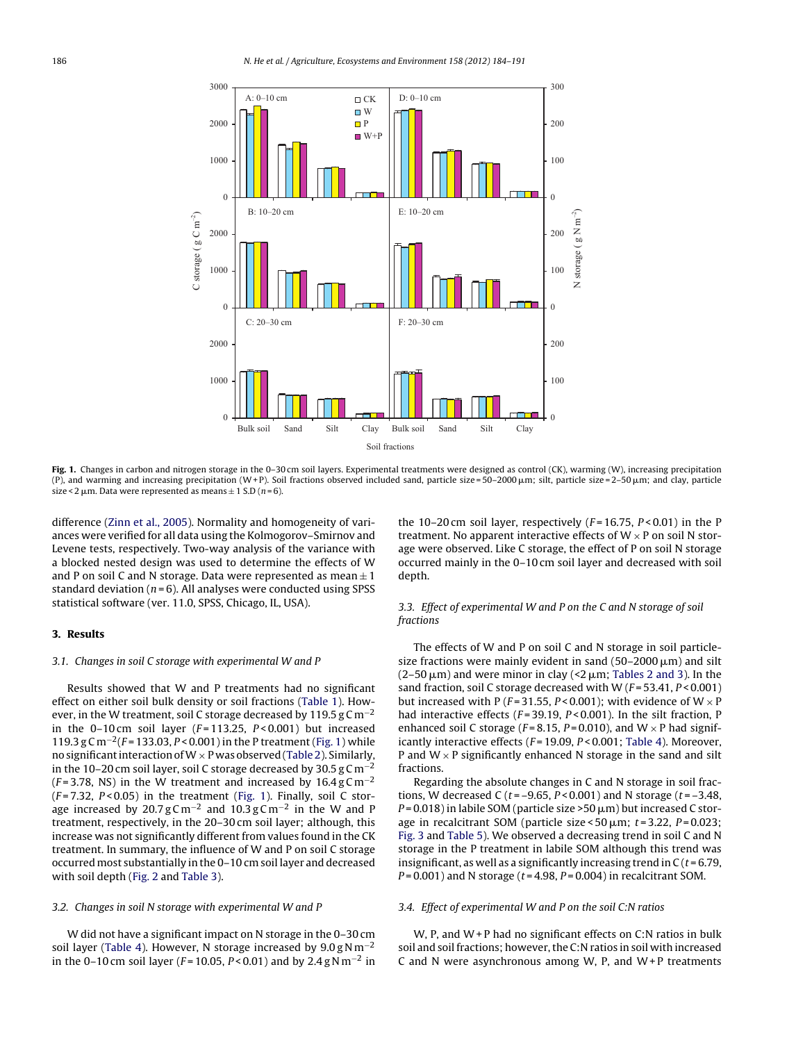

Fig. 1. Changes in carbon and nitrogen storage in the 0–30 cm soil layers. Experimental treatments were designed as control (CK), warming (W), increasing precipitation (P), and warming and increasing precipitation (W+P). Soil fractions observed included sand, particle size=50–2000μm; silt, particle size=2–50μm; and clay, particle size < 2  $\mu$ m. Data were represented as means  $\pm$  1 S.D (n = 6).

difference ([Zinn](#page-7-0) et [al.,](#page-7-0) [2005\).](#page-7-0) Normality and homogeneity of variances were verified for all data using the Kolmogorov–Smirnov and Levene tests, respectively. Two-way analysis of the variance with a blocked nested design was used to determine the effects of W and P on soil C and N storage. Data were represented as mean  $\pm 1$ standard deviation ( $n = 6$ ). All analyses were conducted using SPSS statistical software (ver. 11.0, SPSS, Chicago, IL, USA).

#### **3. Results**

#### 3.1. Changes in soil C storage with experimental W and P

Results showed that W and P treatments had no significant effect on either soil bulk density or soil fractions [\(Table](#page-3-0) 1). However, in the W treatment, soil C storage decreased by 119.5 g Cm<sup>-2</sup> in the 0-10 cm soil layer ( $F = 113.25$ ,  $P < 0.001$ ) but increased 119.3 g C m<sup>-2</sup>(F = 133.03, P < 0.001) in the P treatment (Fig. 1) while no significant interaction of  $W \times P$  was observed ([Table](#page-3-0) 2). Similarly, in the 10–20 cm soil layer, soil C storage decreased by 30.5 g C m<sup>-2</sup> ( $F = 3.78$ , NS) in the W treatment and increased by 16.4 g Cm<sup>-2</sup>  $(F = 7.32, P < 0.05)$  in the treatment (Fig. 1). Finally, soil C storage increased by 20.7 g C m<sup>-2</sup> and 10.3 g C m<sup>-2</sup> in the W and P treatment, respectively, in the 20–30 cm soil layer; although, this increase was not significantly different from values found in the CK treatment. In summary, the influence of W and P on soil C storage occurred most substantially in the 0–10 cm soil layer and decreased with soil depth ([Fig.](#page-4-0) 2 and [Table](#page-3-0) 3).

#### 3.2. Changes in soil N storage with experimental W and P

W did not have a significant impact on N storage in the 0–30 cm soil layer [\(Table](#page-4-0) 4). However, N storage increased by  $9.0 g N m^{-2}$ in the 0–10 cm soil layer ( $F = 10.05$ ,  $P < 0.01$ ) and by 2.4 g N m<sup>-2</sup> in the 10–20 cm soil layer, respectively  $(F = 16.75, P < 0.01)$  in the P treatment. No apparent interactive effects of  $W \times P$  on soil N storage were observed. Like C storage, the effect of P on soil N storage occurred mainly in the 0–10 cm soil layer and decreased with soil depth.

## 3.3. Effect of experimental W and P on the C and N storage of soil fractions

The effects of W and P on soil C and N storage in soil particlesize fractions were mainly evident in sand (50–2000  $\mu$ m) and silt  $(2\text{--}50\,\mu\text{m})$  and were minor in clay (<2  $\mu$ m; [Tables](#page-3-0) 2 and 3). In the sand fraction, soil C storage decreased with W  $(F = 53.41, P < 0.001)$ but increased with P ( $F = 31.55$ ,  $P < 0.001$ ); with evidence of W  $\times$  P had interactive effects ( $F = 39.19$ ,  $P < 0.001$ ). In the silt fraction, P enhanced soil C storage ( $F = 8.15$ ,  $P = 0.010$ ), and W  $\times$  P had significantly interactive effects ( $F = 19.09$ ,  $P < 0.001$ ; [Table](#page-4-0) 4). Moreover, P and  $W \times P$  significantly enhanced N storage in the sand and silt fractions.

Regarding the absolute changes in C and N storage in soil fractions, W decreased C ( $t = -9.65$ ,  $P < 0.001$ ) and N storage ( $t = -3.48$ , P=0.018) in labile SOM (particle size >50  $\mu$ m) but increased C storage in recalcitrant SOM (particle size < 50  $\mu$ m; t = 3.22, P = 0.023; [Fig.](#page-4-0) 3 and [Table](#page-5-0) 5). We observed a decreasing trend in soil C and N storage in the P treatment in labile SOM although this trend was insignificant, as well as a significantly increasing trend in  $C(t = 6.79,$  $P = 0.001$ ) and N storage ( $t = 4.98$ ,  $P = 0.004$ ) in recalcitrant SOM.

#### 3.4. Effect of experimental W and P on the soil C:N ratios

W, P, and W + P had no significant effects on C:N ratios in bulk soil and soil fractions; however, the C:N ratios in soil with increased C and N were asynchronous among W, P, and  $W+P$  treatments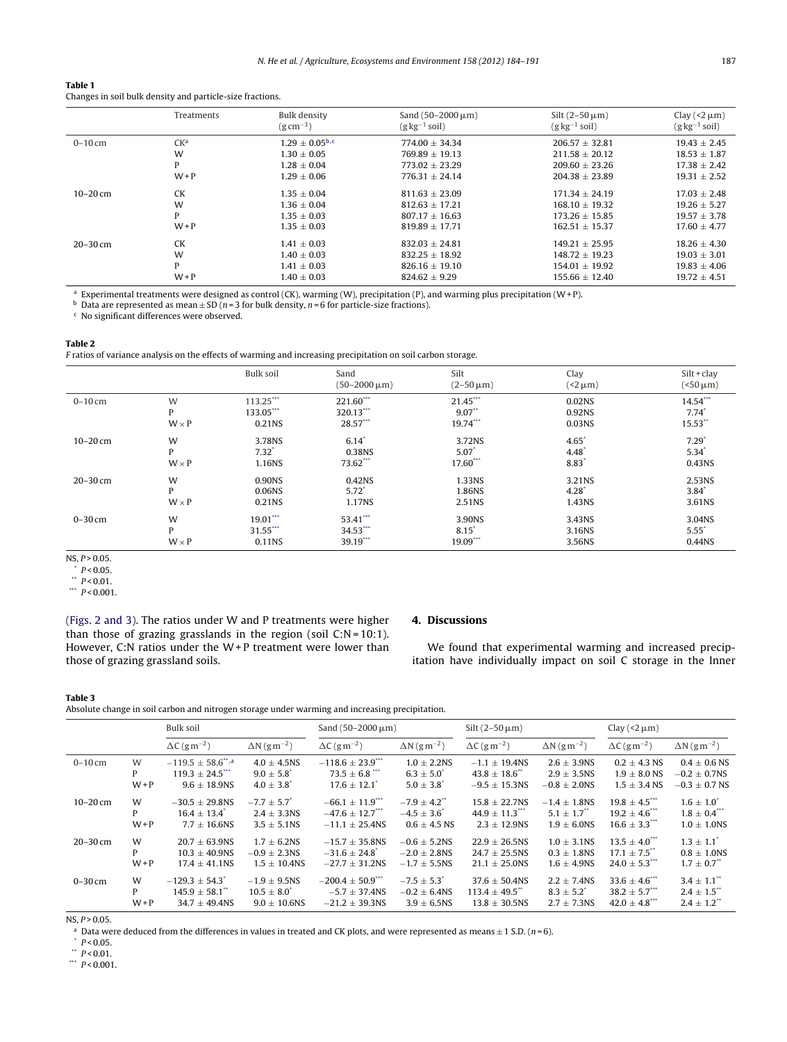#### <span id="page-3-0"></span>**Table 1**

Changes in soil bulk density and particle-size fractions.

|              | Treatments      | Bulk density<br>$(g \, cm^{-3})$ | Sand $(50-2000 \,\mu m)$<br>$(g \text{ kg}^{-1} \text{ soil})$ | Silt $(2-50 \mu m)$<br>$(g \text{ kg}^{-1} \text{ soil})$ | Clay $(2 \mu m)$<br>$(g \log^{-1} sol)$ |
|--------------|-----------------|----------------------------------|----------------------------------------------------------------|-----------------------------------------------------------|-----------------------------------------|
| $0-10$ cm    | CK <sup>a</sup> | $1.29 + 0.05^{\rm b,c}$          | $774.00 \pm 34.34$                                             | $206.57 \pm 32.81$                                        | $19.43 \pm 2.45$                        |
|              | W               | $1.30 + 0.05$                    | $769.89 + 19.13$                                               | $211.58 + 20.12$                                          | $18.53 \pm 1.87$                        |
|              | P               | $1.28 + 0.04$                    | $773.02 + 23.29$                                               | $209.60 + 23.26$                                          | $17.38 \pm 2.42$                        |
|              | $W + P$         | $1.29 \pm 0.06$                  | $776.31 + 24.14$                                               | $204.38 \pm 23.89$                                        | $19.31 \pm 2.52$                        |
| $10 - 20$ cm | <b>CK</b>       | $1.35 \pm 0.04$                  | $811.63 \pm 23.09$                                             | $171.34 \pm 24.19$                                        | $17.03 \pm 2.48$                        |
|              | W               | $1.36 + 0.04$                    | $812.63 + 17.21$                                               | $168.10 + 19.32$                                          | $19.26 + 5.27$                          |
|              | P               | $1.35 \pm 0.03$                  | $807.17 \pm 16.63$                                             | $173.26 \pm 15.85$                                        | $19.57 \pm 3.78$                        |
|              | $W + P$         | $1.35 \pm 0.03$                  | $819.89 + 17.71$                                               | $162.51 + 15.37$                                          | $17.60 + 4.77$                          |
| $20 - 30$ cm | <b>CK</b>       | $1.41 + 0.03$                    | $832.03 + 24.81$                                               | $149.21 + 25.95$                                          | $18.26 + 4.30$                          |
|              | W               | $1.40 \pm 0.03$                  | $832.25 \pm 18.92$                                             | $148.72 \pm 19.23$                                        | $19.03 \pm 3.01$                        |
|              | P               | $1.41 \pm 0.03$                  | $826.16 \pm 19.10$                                             | $154.01 + 19.92$                                          | $19.83 \pm 4.06$                        |
|              | $W + P$         | $1.40 \pm 0.03$                  | $824.62 \pm 9.29$                                              | $155.66 \pm 12.40$                                        | $19.72 \pm 4.51$                        |

<sup>a</sup> Experimental treatments were designed as control (CK), warming (W), precipitation (P), and warming plus precipitation (W+ P).

<sup>b</sup> Data are represented as mean  $\pm$  SD ( $n=3$  for bulk density,  $n=6$  for particle-size fractions). <sup>c</sup> No significant differences were observed.

#### **Table 2**

F ratios of variance analysis on the effects of warming and increasing precipitation on soil carbon storage.

|              |              | Bulk soil   | Sand<br>$(50 - 2000 \,\mu m)$ | Silt<br>$(2 - 50 \,\mu m)$ | Clay<br>$(2 \mu m)$ | $Silt + clav$<br>$(50 \mu m)$ |
|--------------|--------------|-------------|-------------------------------|----------------------------|---------------------|-------------------------------|
| $0-10$ cm    | W            | $113.25***$ | 221.60***                     | 21.45***                   | 0.02 <sub>N</sub> S | $14.54***$                    |
|              | P            | 133.05***   | 320.13***                     | $9.07**$                   | 0.92NS              | $7.74*$                       |
|              | $W \times P$ | 0.21NS      | 28.57***                      | 19.74***                   | 0.03NS              | 15.53**                       |
| $10 - 20$ cm | W            | 3.78NS      | $6.14*$                       | 3.72NS                     | $4.65*$             | $7.29*$                       |
|              | P            | $7.32^*$    | 0.38NS                        | $5.07$ <sup>*</sup>        | $4.48*$             | $5.34^*$                      |
|              | $W \times P$ | 1.16NS      | 73.62***                      | 17.60***                   | $8.83*$             | 0.43NS                        |
| $20 - 30$ cm | W            | 0.90NS      | 0.42NS                        | 1.33NS                     | 3.21NS              | 2.53NS                        |
|              | P            | 0.06NS      | $5.72^*$                      | 1.86NS                     | $4.28^{*}$          | $3.84*$                       |
|              | $W \times P$ | 0.21NS      | 1.17NS                        | 2.51NS                     | 1.43NS              | 3.61NS                        |
| $0-30$ cm    | W            | $19.01***$  | 53.41***                      | 3.90NS                     | 3.43NS              | 3.04NS                        |
|              | P            | $31.55***$  | 34.53***                      | $8.15$ <sup>*</sup>        | 3.16NS              | $5.55^*$                      |
|              | $W \times P$ | 0.11NS      | 39.19***                      | 19.09***                   | 3.56NS              | 0.44NS                        |

 $NS, P > 0.05.$ 

 $*$  P < 0.05.

\*\*  $P < 0.01$ .

\*\*\*  $P < 0.001$ .

([Figs.](#page-4-0) 2 and 3). The ratios under W and P treatments were higher than those of grazing grasslands in the region (soil  $C:N = 10:1$ ). However, C:N ratios under the W+P treatment were lower than those of grazing grassland soils.

# **4. Discussions**

We found that experimental warming and increased precipitation have individually impact on soil C storage in the Inner

#### **Table 3**

Absolute change in soil carbon and nitrogen storage under warming and increasing precipitation.

|              |         | Bulk soil                                      |                                 | Sand $(50-2000 \,\mu m)$        |                                 | Silt $(2-50 \mu m)$             |                                 | Clay ( $\langle 2 \mu m \rangle$ ) |                                 |
|--------------|---------|------------------------------------------------|---------------------------------|---------------------------------|---------------------------------|---------------------------------|---------------------------------|------------------------------------|---------------------------------|
|              |         | $\Delta C$ (gm <sup>-2</sup> )                 | $\Delta N$ (g m <sup>-2</sup> ) | $\Delta C$ (g m <sup>-2</sup> ) | $\Delta N$ (g m <sup>-2</sup> ) | $\Delta C$ (g m <sup>-2</sup> ) | $\Delta N$ (g m <sup>-2</sup> ) | $\Delta C$ (g m <sup>-2</sup> )    | $\Delta N$ (g m <sup>-2</sup> ) |
| $0-10$ cm    | W       | $-119.5 \pm 58.6$ <sup>**</sup> . <sup>a</sup> | $4.0 \pm 4.5$ NS                | $-118.6 \pm 23.9$ ***           | $1.0 \pm 2.2$ NS                | $-1.1 \pm 19.4$ NS              | $2.6 \pm 3.9$ NS                | $0.2 \pm 4.3$ NS                   | $0.4 \pm 0.6$ NS                |
|              | P       | $119.3 \pm 24.5$                               | $9.0 \pm 5.8$                   | $73.5 \pm 6.8$ ***              | $6.3 \pm 5.0^{\circ}$           | $43.8 \pm 18.6$ <sup>**</sup>   | $2.9 \pm 3.5$ NS                | $1.9 \pm 8.0$ NS                   | $-0.2 \pm 0.7$ NS               |
|              | $W + P$ | $9.6 \pm 18.9N$ S                              | $4.0 \pm 3.8$ <sup>*</sup>      | $17.6 \pm 12.1$ <sup>*</sup>    | $5.0 \pm 3.8^*$                 | $-9.5 \pm 15.3$ NS              | $-0.8 \pm 2.0$ NS               | $1.5 \pm 3.4$ NS                   | $-0.3 \pm 0.7$ NS               |
| $10 - 20$ cm | W       | $-30.5 \pm 29.8$ NS                            | $-7.7 \pm 5.7$ <sup>*</sup>     | $-66.1 \pm 11.9$ ***            | $-7.9 \pm 4.2$ <sup>**</sup>    | $15.8 \pm 22.7$ NS              | $-1.4 \pm 1.8$ NS               | $19.8 + 4.5$ ***                   | $1.6 \pm 1.0^*$                 |
|              | P       | $16.4 \pm 13.4$ <sup>*</sup>                   | $2.4 + 3.3$ NS                  | $-47.6 \pm 12.7$ ***            | $-4.5 \pm 3.6$                  | $44.9 \pm 11.3$                 | $5.1 \pm 1.7$ <sup>**</sup>     | $19.2 \pm 4.6$                     | $1.8 \pm 0.4$ <sup>***</sup>    |
|              | $W + P$ | $7.7 \pm 16.6$ NS                              | $3.5 \pm 5.1$ NS                | $-11.1 \pm 25.4$ NS             | $0.6 \pm 4.5$ NS                | $2.3 \pm 12.9N$ S               | $1.9 \pm 6.0$ NS                | $16.6 \pm 3.3$                     | $1.0 \pm 1.0$ NS                |
| $20 - 30$ cm | W       | $20.7 \pm 63.9N$ S                             | $1.7 \pm 6.2$ NS                | $-15.7 \pm 35.8$ NS             | $-0.6 \pm 5.2$ NS               | $22.9 + 26.5$ NS                | $1.0 \pm 3.1$ NS                | $13.5 \pm 4.0$ <sup>***</sup>      | $1.3 \pm 1.1^*$                 |
|              | P       | $10.3 + 40.9N$                                 | $-0.9 + 2.3$ NS                 | $-31.6 + 24.8$ <sup>*</sup>     | $-2.0 \pm 2.8$ NS               | $24.7 + 25.5$ NS                | $0.3 \pm 1.8$ NS                | $17.1 \pm 7.5$ <sup>**</sup>       | $0.8 \pm 1.0$ NS                |
|              | $W + P$ | $17.4 \pm 41.1$ NS                             | $1.5 \pm 10.4$ NS               | $-27.7 \pm 31.2$ NS             | $-1.7 \pm 5.5$ NS               | $21.1 \pm 25.0$ NS              | $1.6 \pm 4.9N$ S                | $24.0 \pm 5.3$ ***                 | $1.7 \pm 0.7$ <sup>**</sup>     |
| $0-30$ cm    | W       | $-129.3 \pm 54.3$ <sup>*</sup>                 | $-1.9 \pm 9.5$ NS               | $-200.4 \pm 50.9$               | $-7.5 \pm 5.3$ <sup>*</sup>     | $37.6 \pm 50.4$ NS              | $2.2 \pm 7.4$ NS                | $33.6 \pm 4.6$ ***                 | $3.4 \pm 1.1$ <sup>**</sup>     |
|              | P       | $145.9 \pm 58.1$ <sup>**</sup>                 | $10.5 \pm 8.0^*$                | $-5.7 \pm 37.4N$ S              | $-0.2 \pm 6.4$ NS               | $113.4 \pm 49.5$                | $8.3 \pm 5.2^*$                 | $38.2 \pm 5.7$ ***                 | $2.4 \pm 1.5$ <sup>**</sup>     |
|              | $W + P$ | $34.7 \pm 49.4N$ S                             | $9.0 \pm 10.6$ NS               | $-21.2 \pm 39.3N$ S             | $3.9 \pm 6.5$ NS                | $13.8 \pm 30.5$ NS              | $2.7 \pm 7.3$ NS                | $42.0 \pm 4.8$                     | $2.4 \pm 1.2$ <sup>**</sup>     |

 $NS, P > 0.05.$ 

<sup>a</sup> Data were deduced from the differences in values in treated and CK plots, and were represented as means  $\pm$  1 S.D. (*n* = 6).  $*$  *P* < 0.05.

\*\*  $P < 0.01$ .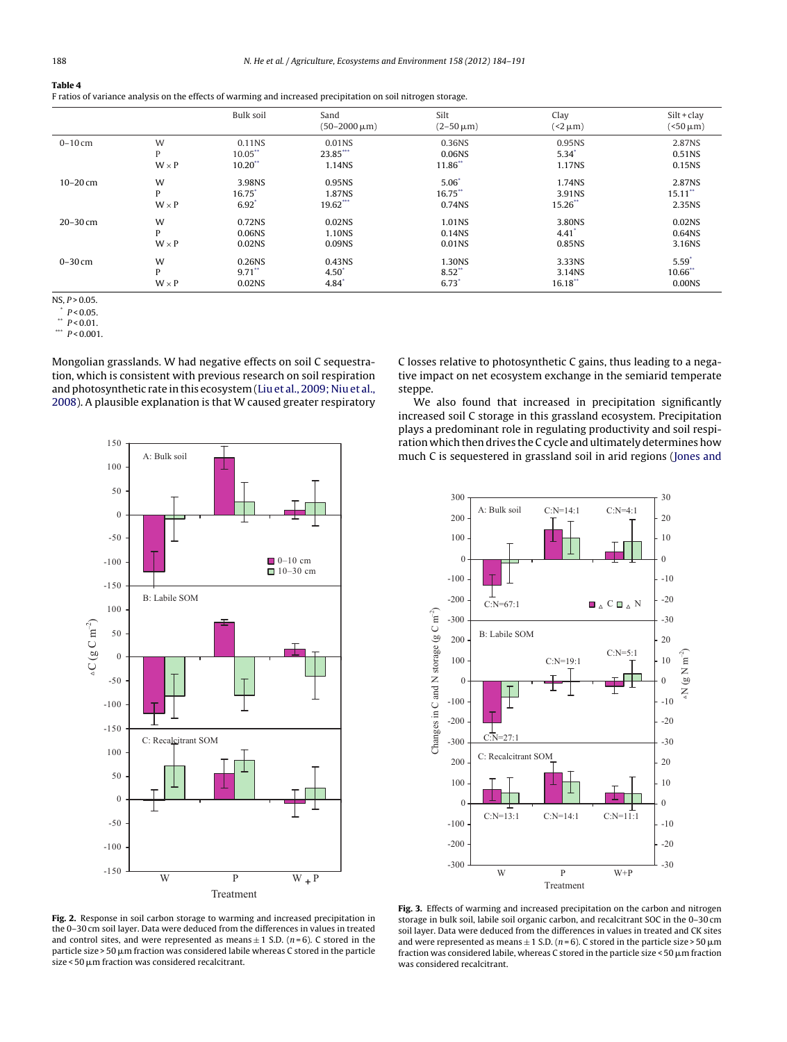<span id="page-4-0"></span>

| н<br>п |  |  |
|--------|--|--|
|        |  |  |

F ratios of variance analysis on the effects of warming and increased precipitation on soil nitrogen storage.

|              |              | <b>Bulk soil</b>     | Sand<br>$(50 - 2000 \,\mu m)$ | Silt<br>$(2 - 50 \,\mu m)$ | Clay<br>$(2 \mu m)$ | $Silt + clav$<br>$(50 \mu m)$ |
|--------------|--------------|----------------------|-------------------------------|----------------------------|---------------------|-------------------------------|
| $0 - 10$ cm  | W            | 0.11NS               | 0.01 <sub>NS</sub>            | 0.36NS                     | 0.95 <sub>N</sub> S | 2.87NS                        |
|              | P            | $10.05$ **           | 23.85***                      | 0.06NS                     | $5.34*$             | 0.51NS                        |
|              | $W \times P$ | $10.20$ **           | 1.14NS                        | 11.86**                    | 1.17NS              | 0.15NS                        |
| $10 - 20$ cm | W            | 3.98NS               | 0.95NS                        | $5.06*$                    | 1.74NS              | 2.87NS                        |
|              | P            | $16.75$ <sup>*</sup> | 1.87NS                        | 16.75**                    | 3.91NS              | $15.11$ **                    |
|              | $W \times P$ | $6.92$ <sup>*</sup>  | 19.62***                      | 0.74NS                     | 15.26**             | 2.35NS                        |
| $20 - 30$ cm | W            | 0.72NS               | 0.02 <sub>NS</sub>            | 1.01NS                     | 3.80NS              | 0.02 <sub>N</sub> S           |
|              | P            | 0.06NS               | 1.10NS                        | 0.14NS                     | 4.41                | 0.64NS                        |
|              | $W \times P$ | 0.02NS               | 0.09NS                        | 0.01NS                     | 0.85NS              | 3.16NS                        |
| $0 - 30$ cm  | W            | 0.26NS               | 0.43NS                        | 1.30NS                     | 3.33NS              | $5.59*$                       |
|              | P            | $9.71$ **            | $4.50*$                       | $8.52$ **                  | 3.14NS              | 10.66**                       |
|              | $W \times P$ | 0.02NS               | $4.84$ <sup>*</sup>           | 6.73                       | $16.18**$           | 0.00NS                        |

 $NS, P > 0.05.$ 

 $*$   $P < 0.05$ .

 $P < 0.01$ .

\*\*\*  $P < 0.001$ .

Mongolian grasslands. W had negative effects on soil C sequestration, which is consistent with previous research on soil respiration and photosynthetic rate in this ecosystem [\(Liu](#page-6-0) et [al.,](#page-6-0) [2009;](#page-6-0) [Niu](#page-6-0) et [al.,](#page-6-0) [2008\).](#page-6-0) A plausible explanation is that W caused greater respiratory



C losses relative to photosynthetic C gains, thus leading to a negative impact on net ecosystem exchange in the semiarid temperate steppe.

We also found that increased in precipitation significantly increased soil C storage in this grassland ecosystem. Precipitation plays a predominant role in regulating productivity and soil respiration which then drives the C cycle and ultimately determines how much C is sequestered in grassland soil in arid regions ([Jones](#page-6-0) [and](#page-6-0)



**Fig. 2.** Response in soil carbon storage to warming and increased precipitation in the 0–30 cm soil layer. Data were deduced from the differences in values in treated and control sites, and were represented as means  $\pm$  1 S.D. (n=6). C stored in the particle size > 50  $\rm \mu m$  fraction was considered labile whereas C stored in the particle size < 50 µm fraction was considered recalcitrant.

**Fig. 3.** Effects of warming and increased precipitation on the carbon and nitrogen storage in bulk soil, labile soil organic carbon, and recalcitrant SOC in the 0–30 cm soil layer. Data were deduced from the differences in values in treated and CK sites and were represented as means  $\pm$  1 S.D. (n=6). C stored in the particle size > 50  $\mu$ m fraction was considered labile, whereas C stored in the particle size < 50  $\mu$ m fraction was considered recalcitrant.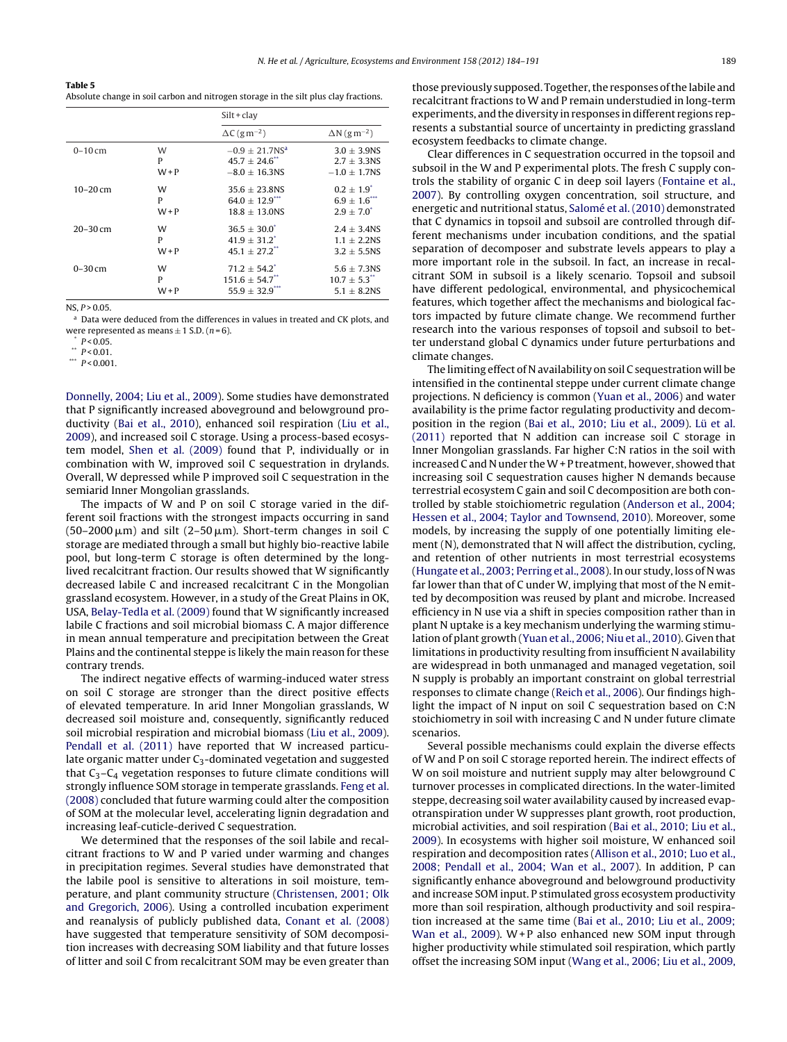<span id="page-5-0"></span>**Table 5** Absolute change in soil carbon and nitrogen storage in the silt plus clay fractions.

|              |         | $Silt + clav$                   |                                 |
|--------------|---------|---------------------------------|---------------------------------|
|              |         | $\Delta C$ (g m <sup>-2</sup> ) | $\Delta N$ (g m <sup>-2</sup> ) |
| $0-10$ cm    | W       | $-0.9 + 21.7$ NS <sup>a</sup>   | $3.0 + 3.9N$                    |
|              | P       | $45.7 \pm 24.6$ **              | $2.7 + 3.3$ NS                  |
|              | $W + P$ | $-8.0 + 16.3$ NS                | $-1.0 \pm 1.7$ NS               |
| $10 - 20$ cm | W       | $35.6 + 23.8N$                  | $0.2 + 1.9^*$                   |
|              | P       | $64.0 + 12.9$                   | $6.9 \pm 1.6$                   |
|              | $W + P$ | $18.8 + 13.0$ NS                | $2.9 + 7.0^*$                   |
| $20 - 30$ cm | W       | $36.5 \pm 30.0^{\circ}$         | $2.4 \pm 3.4$ NS                |
|              | P       | $41.9 + 31.2$ <sup>*</sup>      | $1.1 + 2.2$ NS                  |
|              | $W + P$ | $45.1 + 27.2$ <sup>**</sup>     | $3.2 + 5.5$ NS                  |
| $0 - 30$ cm  | W       | $71.2 + 54.2$                   | $5.6 \pm 7.3$ NS                |
|              | P       | $151.6 \pm 54.7$ <sup>**</sup>  | $10.7 + 5.3$ **                 |
|              | $W + P$ | $55.9 \pm 32.9$ ***             | $5.1 + 8.2N$ S                  |

 $NS, P > 0.05$ 

<sup>a</sup> Data were deduced from the differences in values in treated and CK plots, and were represented as means  $\pm$  1 S.D. (*n* = 6).  $*$  *P* < 0.05.

 $P < 0.01$ 

\*\*\*  $P < 0.001$ .

[Donnelly,](#page-6-0) [2004;](#page-6-0) [Liu](#page-6-0) et [al.,](#page-6-0) [2009\).](#page-6-0) Some studies have demonstrated that P significantly increased aboveground and belowground productivity [\(Bai](#page-6-0) et [al.,](#page-6-0) [2010\),](#page-6-0) enhanced soil respiration [\(Liu](#page-6-0) et [al.,](#page-6-0) [2009\),](#page-6-0) and increased soil C storage. Using a process-based ecosystem model, [Shen](#page-6-0) et [al.](#page-6-0) [\(2009\)](#page-6-0) found that P, individually or in combination with W, improved soil C sequestration in drylands. Overall, W depressed while P improved soil C sequestration in the semiarid Inner Mongolian grasslands.

The impacts of W and P on soil C storage varied in the different soil fractions with the strongest impacts occurring in sand (50–2000 $\,\rm \mu m)$  and silt (2–50 $\,\rm \mu m$ ). Short-term changes in soil C storage are mediated through a small but highly bio-reactive labile pool, but long-term C storage is often determined by the longlived recalcitrant fraction. Our results showed that W significantly decreased labile C and increased recalcitrant C in the Mongolian grassland ecosystem. However, in a study of the Great Plains in OK, USA, [Belay-Tedla](#page-6-0) et [al.](#page-6-0) [\(2009\)](#page-6-0) found that W significantly increased labile C fractions and soil microbial biomass C. A major difference in mean annual temperature and precipitation between the Great Plains and the continental steppe is likely the main reason for these contrary trends.

The indirect negative effects of warming-induced water stress on soil C storage are stronger than the direct positive effects of elevated temperature. In arid Inner Mongolian grasslands, W decreased soil moisture and, consequently, significantly reduced soil microbial respiration and microbial biomass [\(Liu](#page-6-0) et [al.,](#page-6-0) [2009\).](#page-6-0) [Pendall](#page-6-0) et [al.](#page-6-0) [\(2011\)](#page-6-0) have reported that W increased particulate organic matter under  $C_3$ -dominated vegetation and suggested that  $C_3 - C_4$  vegetation responses to future climate conditions will strongly influence SOM storage in temperate grasslands. [Feng](#page-6-0) et [al.](#page-6-0) [\(2008\)](#page-6-0) concluded that future warming could alter the composition of SOM at the molecular level, accelerating lignin degradation and increasing leaf-cuticle-derived C sequestration.

We determined that the responses of the soil labile and recalcitrant fractions to W and P varied under warming and changes in precipitation regimes. Several studies have demonstrated that the labile pool is sensitive to alterations in soil moisture, temperature, and plant community structure ([Christensen,](#page-6-0) [2001;](#page-6-0) [Olk](#page-6-0) [and](#page-6-0) [Gregorich,](#page-6-0) [2006\).](#page-6-0) Using a controlled incubation experiment and reanalysis of publicly published data, [Conant](#page-6-0) et [al.](#page-6-0) [\(2008\)](#page-6-0) have suggested that temperature sensitivity of SOM decomposition increases with decreasing SOM liability and that future losses of litter and soil C from recalcitrant SOM may be even greater than

those previously supposed. Together, the responses of the labile and recalcitrant fractions to W and P remain understudied in long-term experiments, and the diversity in responses in different regions represents a substantial source of uncertainty in predicting grassland ecosystem feedbacks to climate change.

Clear differences in C sequestration occurred in the topsoil and subsoil in the W and P experimental plots. The fresh C supply controls the stability of organic C in deep soil layers ([Fontaine](#page-6-0) et [al.,](#page-6-0) [2007\).](#page-6-0) By controlling oxygen concentration, soil structure, and energetic and nutritional status, [Salomé](#page-6-0) et [al.](#page-6-0) [\(2010\)](#page-6-0) demonstrated that C dynamics in topsoil and subsoil are controlled through different mechanisms under incubation conditions, and the spatial separation of decomposer and substrate levels appears to play a more important role in the subsoil. In fact, an increase in recalcitrant SOM in subsoil is a likely scenario. Topsoil and subsoil have different pedological, environmental, and physicochemical features, which together affect the mechanisms and biological factors impacted by future climate change. We recommend further research into the various responses of topsoil and subsoil to better understand global C dynamics under future perturbations and climate changes.

The limiting effect of N availability on soil C sequestration will be intensified in the continental steppe under current climate change projections. N deficiency is common [\(Yuan](#page-7-0) et [al.,](#page-7-0) [2006\)](#page-7-0) and water availability is the prime factor regulating productivity and decomposition in the region ([Bai](#page-6-0) et [al.,](#page-6-0) [2010;](#page-6-0) [Liu](#page-6-0) et [al.,](#page-6-0) [2009\).](#page-6-0) [Lü](#page-6-0) et [al.](#page-6-0) [\(2011\)](#page-6-0) reported that N addition can increase soil C storage in Inner Mongolian grasslands. Far higher C:N ratios in the soil with increased C and N under theW+ P treatment, however, showed that increasing soil C sequestration causes higher N demands because terrestrial ecosystem C gain and soil C decomposition are both controlled by stable stoichiometric regulation ([Anderson](#page-6-0) et [al.,](#page-6-0) [2004;](#page-6-0) [Hessen](#page-6-0) et [al.,](#page-6-0) [2004;](#page-6-0) [Taylor](#page-6-0) [and](#page-6-0) [Townsend,](#page-6-0) [2010\).](#page-6-0) Moreover, some models, by increasing the supply of one potentially limiting element (N), demonstrated that N will affect the distribution, cycling, and retention of other nutrients in most terrestrial ecosystems [\(Hungate](#page-6-0) et [al.,](#page-6-0) [2003;](#page-6-0) [Perring](#page-6-0) et [al.,](#page-6-0) [2008\).](#page-6-0) In our study, loss of N was far lower than that of C under W, implying that most of the N emitted by decomposition was reused by plant and microbe. Increased efficiency in N use via a shift in species composition rather than in plant N uptake is a key mechanism underlying the warming stimulation of plant growth [\(Yuan](#page-7-0) et [al.,](#page-7-0) [2006;](#page-7-0) [Niu](#page-7-0) et [al.,](#page-7-0) [2010\).](#page-7-0) Given that limitations in productivity resulting from insufficient N availability are widespread in both unmanaged and managed vegetation, soil N supply is probably an important constraint on global terrestrial responses to climate change ([Reich](#page-6-0) et [al.,](#page-6-0) [2006\).](#page-6-0) Our findings highlight the impact of N input on soil C sequestration based on C:N stoichiometry in soil with increasing C and N under future climate scenarios.

Several possible mechanisms could explain the diverse effects of W and P on soil C storage reported herein. The indirect effects of W on soil moisture and nutrient supply may alter belowground C turnover processes in complicated directions. In the water-limited steppe, decreasing soil water availability caused by increased evapotranspiration under W suppresses plant growth, root production, microbial activities, and soil respiration ([Bai](#page-6-0) et [al.,](#page-6-0) [2010;](#page-6-0) [Liu](#page-6-0) et [al.,](#page-6-0) [2009\).](#page-6-0) In ecosystems with higher soil moisture, W enhanced soil respiration and decomposition rates [\(Allison](#page-6-0) et [al.,](#page-6-0) [2010;](#page-6-0) [Luo](#page-6-0) et [al.,](#page-6-0) [2008;](#page-6-0) [Pendall](#page-6-0) et [al.,](#page-6-0) [2004;](#page-6-0) [Wan](#page-6-0) et [al.,](#page-6-0) [2007\).](#page-6-0) In addition, P can significantly enhance aboveground and belowground productivity and increase SOM input. P stimulated gross ecosystem productivity more than soil respiration, although productivity and soil respiration increased at the same time ([Bai](#page-6-0) et [al.,](#page-6-0) [2010;](#page-6-0) [Liu](#page-6-0) et [al.,](#page-6-0) [2009;](#page-6-0) [Wan](#page-6-0) et [al.,](#page-6-0) [2009\).](#page-6-0) W+P also enhanced new SOM input through higher productivity while stimulated soil respiration, which partly offset the increasing SOM input ([Wang](#page-7-0) et [al.,](#page-7-0) [2006;](#page-7-0) [Liu](#page-7-0) et [al.,](#page-7-0) [2009,](#page-7-0)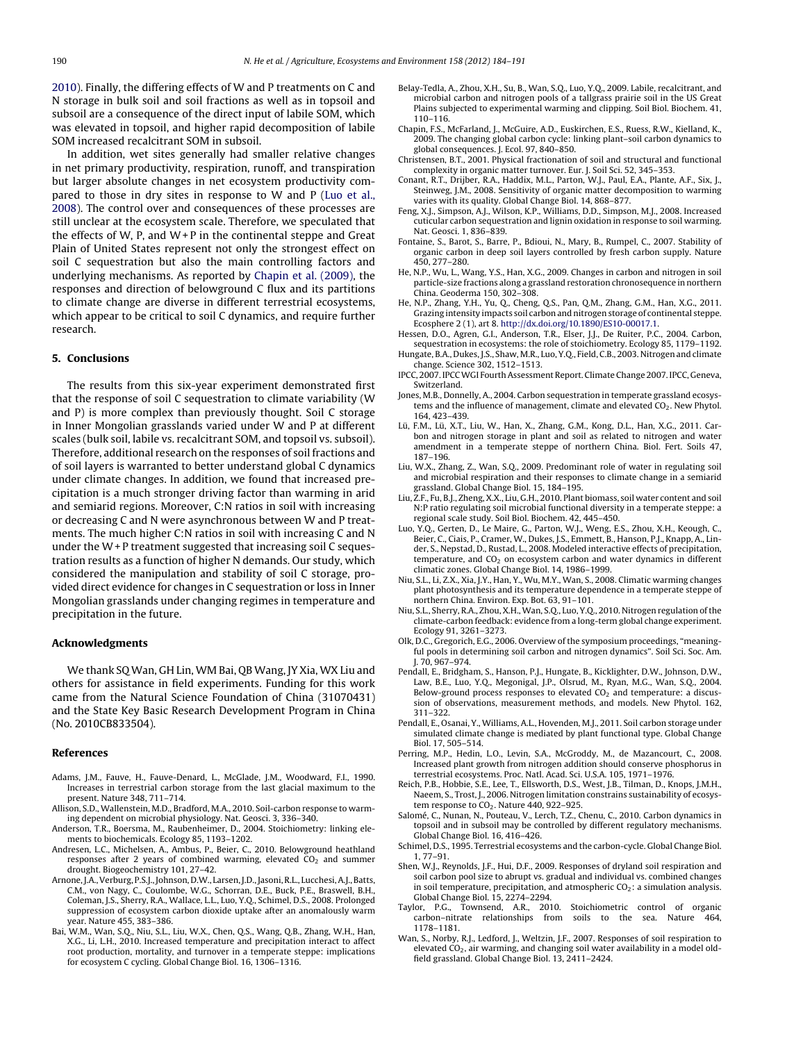<span id="page-6-0"></span>[2010\).](#page-7-0) Finally, the differing effects of W and P treatments on C and N storage in bulk soil and soil fractions as well as in topsoil and subsoil are a consequence of the direct input of labile SOM, which was elevated in topsoil, and higher rapid decomposition of labile SOM increased recalcitrant SOM in subsoil.

In addition, wet sites generally had smaller relative changes in net primary productivity, respiration, runoff, and transpiration but larger absolute changes in net ecosystem productivity compared to those in dry sites in response to W and P (Luo et al., 2008). The control over and consequences of these processes are still unclear at the ecosystem scale. Therefore, we speculated that the effects of W, P, and  $W + P$  in the continental steppe and Great Plain of United States represent not only the strongest effect on soil C sequestration but also the main controlling factors and underlying mechanisms. As reported by Chapin et al. (2009), the responses and direction of belowground C flux and its partitions to climate change are diverse in different terrestrial ecosystems, which appear to be critical to soil C dynamics, and require further research.

# **5. Conclusions**

The results from this six-year experiment demonstrated first that the response of soil C sequestration to climate variability (W and P) is more complex than previously thought. Soil C storage in Inner Mongolian grasslands varied under W and P at different scales (bulk soil, labile vs. recalcitrant SOM, and topsoil vs. subsoil). Therefore, additional research on the responses of soil fractions and of soil layers is warranted to better understand global C dynamics under climate changes. In addition, we found that increased precipitation is a much stronger driving factor than warming in arid and semiarid regions. Moreover, C:N ratios in soil with increasing or decreasing C and N were asynchronous between W and P treatments. The much higher C:N ratios in soil with increasing C and N under the  $W + P$  treatment suggested that increasing soil C sequestration results as a function of higher N demands. Our study, which considered the manipulation and stability of soil C storage, provided direct evidence for changes in C sequestration or loss in Inner Mongolian grasslands under changing regimes in temperature and precipitation in the future.

#### **Acknowledgments**

We thank SQ Wan, GH Lin, WM Bai, QB Wang, JY Xia, WX Liu and others for assistance in field experiments. Funding for this work came from the Natural Science Foundation of China (31070431) and the State Key Basic Research Development Program in China (No. 2010CB833504).

#### **References**

- Adams, J.M., Fauve, H., Fauve-Denard, L., McGlade, J.M., Woodward, F.I., 1990. Increases in terrestrial carbon storage from the last glacial maximum to the present. Nature 348, 711–714.
- Allison, S.D., Wallenstein, M.D., Bradford, M.A., 2010. Soil-carbon response to warming dependent on microbial physiology. Nat. Geosci. 3, 336–340.
- Anderson, T.R., Boersma, M., Raubenheimer, D., 2004. Stoichiometry: linking elements to biochemicals. Ecology 85, 1193–1202.
- Andresen, L.C., Michelsen, A., Ambus, P., Beier, C., 2010. Belowground heathland responses after 2 years of combined warming, elevated  $CO<sub>2</sub>$  and summer drought. Biogeochemistry 101, 27–42.
- Arnone,J.A.,Verburg, P.S.J.,Johnson, D.W., Larsen,J.D.,Jasoni,R.L., Lucchesi,A.J.,Batts, C.M., von Nagy, C., Coulombe, W.G., Schorran, D.E., Buck, P.E., Braswell, B.H., Coleman, J.S., Sherry, R.A., Wallace, L.L., Luo, Y.Q., Schimel, D.S., 2008. Prolonged suppression of ecosystem carbon dioxide uptake after an anomalously warm year. Nature 455, 383–386.
- Bai, W.M., Wan, S.Q., Niu, S.L., Liu, W.X., Chen, Q.S., Wang, Q.B., Zhang, W.H., Han, X.G., Li, L.H., 2010. Increased temperature and precipitation interact to affect root production, mortality, and turnover in a temperate steppe: implications for ecosystem C cycling. Global Change Biol. 16, 1306–1316.
- Belay-Tedla, A., Zhou, X.H., Su, B., Wan, S.Q., Luo, Y.Q., 2009. Labile, recalcitrant, and microbial carbon and nitrogen pools of a tallgrass prairie soil in the US Great Plains subjected to experimental warming and clipping. Soil Biol. Biochem. 41, 110–116.
- Chapin, F.S., McFarland, J., McGuire, A.D., Euskirchen, E.S., Ruess, R.W., Kielland, K., 2009. The changing global carbon cycle: linking plant–soil carbon dynamics to global consequences. J. Ecol. 97, 840–850.
- Christensen, B.T., 2001. Physical fractionation of soil and structural and functional complexity in organic matter turnover. Eur. J. Soil Sci. 52, 345–353.
- Conant, R.T., Drijber, R.A., Haddix, M.L., Parton, W.J., Paul, E.A., Plante, A.F., Six, J., Steinweg, J.M., 2008. Sensitivity of organic matter decomposition to warming varies with its quality. Global Change Biol. 14, 868–877.
- Feng, X.J., Simpson, A.J., Wilson, K.P., Williams, D.D., Simpson, M.J., 2008. Increased cuticular carbon sequestration and lignin oxidation in response to soil warming. Nat. Geosci. 1, 836–839.
- Fontaine, S., Barot, S., Barre, P., Bdioui, N., Mary, B., Rumpel, C., 2007. Stability of organic carbon in deep soil layers controlled by fresh carbon supply. Nature 450, 277–280.
- He, N.P., Wu, L., Wang, Y.S., Han, X.G., 2009. Changes in carbon and nitrogen in soil particle-size fractions along a grassland restoration chronosequence in northern China. Geoderma 150, 302–308.
- He, N.P., Zhang, Y.H., Yu, Q., Cheng, Q.S., Pan, Q.M., Zhang, G.M., Han, X.G., 2011. Grazing intensity impacts soil carbon and nitrogen storage of continental steppe. Ecosphere 2 (1), art 8. [http://dx.doi.org/10.1890/ES10-00017.1.](dx.doi.org/10.1890/ES10-00017.1)
- Hessen, D.O., Agren, G.I., Anderson, T.R., Elser, J.J., De Ruiter, P.C., 2004. Carbon, sequestration in ecosystems: the role of stoichiometry. Ecology 85, 1179–1192.
- Hungate, B.A., Dukes, J.S., Shaw, M.R., Luo, Y.Q., Field, C.B., 2003. Nitrogen and climate change. Science 302, 1512–1513.
- IPCC, 2007. IPCC WGI Fourth Assessment Report. Climate Change 2007. IPCC, Geneva, Switzerland.
- Jones, M.B., Donnelly, A., 2004. Carbon sequestration in temperate grassland ecosystems and the influence of management, climate and elevated  $CO<sub>2</sub>$ . New Phytol. 164, 423–439.
- Lü, F.M., Lü, X.T., Liu, W., Han, X., Zhang, G.M., Kong, D.L., Han, X.G., 2011. Carbon and nitrogen storage in plant and soil as related to nitrogen and water amendment in a temperate steppe of northern China. Biol. Fert. Soils 47, 187–196.
- Liu, W.X., Zhang, Z., Wan, S.Q., 2009. Predominant role of water in regulating soil and microbial respiration and their responses to climate change in a semiarid grassland. Global Change Biol. 15, 184–195.
- Liu, Z.F., Fu, B.J., Zheng, X.X., Liu, G.H., 2010. Plant biomass, soil water content and soil N:P ratio regulating soil microbial functional diversity in a temperate steppe: a regional scale study. Soil Biol. Biochem. 42, 445–450.
- Luo, Y.Q., Gerten, D., Le Maire, G., Parton, W.J., Weng, E.S., Zhou, X.H., Keough, C., Beier, C., Ciais, P., Cramer, W., Dukes, J.S., Emmett, B., Hanson, P.J., Knapp, A., Linder, S., Nepstad, D., Rustad, L., 2008. Modeled interactive effects of precipitation, temperature, and  $CO<sub>2</sub>$  on ecosystem carbon and water dynamics in different climatic zones. Global Change Biol. 14, 1986–1999.
- Niu, S.L., Li, Z.X., Xia, J.Y., Han, Y., Wu, M.Y., Wan, S., 2008. Climatic warming changes plant photosynthesis and its temperature dependence in a temperate steppe of northern China. Environ. Exp. Bot. 63, 91–101.
- Niu, S.L., Sherry, R.A., Zhou, X.H., Wan, S.Q., Luo, Y.Q., 2010. Nitrogen regulation of the climate-carbon feedback: evidence from a long-term global change experiment. Ecology 91, 3261–3273.
- Olk, D.C., Gregorich, E.G., 2006. Overview of the symposium proceedings, "meaningful pools in determining soil carbon and nitrogen dynamics". Soil Sci. Soc. Am. J. 70, 967–974.
- Pendall, E., Bridgham, S., Hanson, P.J., Hungate, B., Kicklighter, D.W., Johnson, D.W., Law, B.E., Luo, Y.Q., Megonigal, J.P., Olsrud, M., Ryan, M.G., Wan, S.Q., 2004. Below-ground process responses to elevated CO<sub>2</sub> and temperature: a discussion of observations, measurement methods, and models. New Phytol. 162, 311–322.
- Pendall, E., Osanai, Y., Williams, A.L., Hovenden, M.J., 2011. Soil carbon storage under simulated climate change is mediated by plant functional type. Global Change Biol. 17, 505–514.
- Perring, M.P., Hedin, L.O., Levin, S.A., McGroddy, M., de Mazancourt, C., 2008. Increased plant growth from nitrogen addition should conserve phosphorus in terrestrial ecosystems. Proc. Natl. Acad. Sci. U.S.A. 105, 1971–1976.
- Reich, P.B., Hobbie, S.E., Lee, T., Ellsworth, D.S., West, J.B., Tilman, D., Knops, J.M.H., Naeem, S., Trost, J., 2006. Nitrogen limitation constrains sustainability of ecosystem response to CO<sub>2</sub>. Nature 440, 922-925
- Salomé, C., Nunan, N., Pouteau, V., Lerch, T.Z., Chenu, C., 2010. Carbon dynamics in topsoil and in subsoil may be controlled by different regulatory mechanisms. Global Change Biol. 16, 416–426.
- Schimel, D.S., 1995. Terrestrial ecosystems and the carbon-cycle. Global Change Biol. 1, 77–91.
- Shen, W.J., Reynolds, J.F., Hui, D.F., 2009. Responses of dryland soil respiration and soil carbon pool size to abrupt vs. gradual and individual vs. combined changes in soil temperature, precipitation, and atmospheric  $CO<sub>2</sub>$ : a simulation analysis. Global Change Biol. 15, 2274–2294.
- Taylor, P.G., Townsend, A.R., 2010. Stoichiometric control of organic carbon–nitrate relationships from soils to the sea. Nature 464, 1178–1181.
- Wan, S., Norby, R.J., Ledford, J., Weltzin, J.F., 2007. Responses of soil respiration to elevated CO<sub>2</sub>, air warming, and changing soil water availability in a model oldfield grassland. Global Change Biol. 13, 2411–2424.